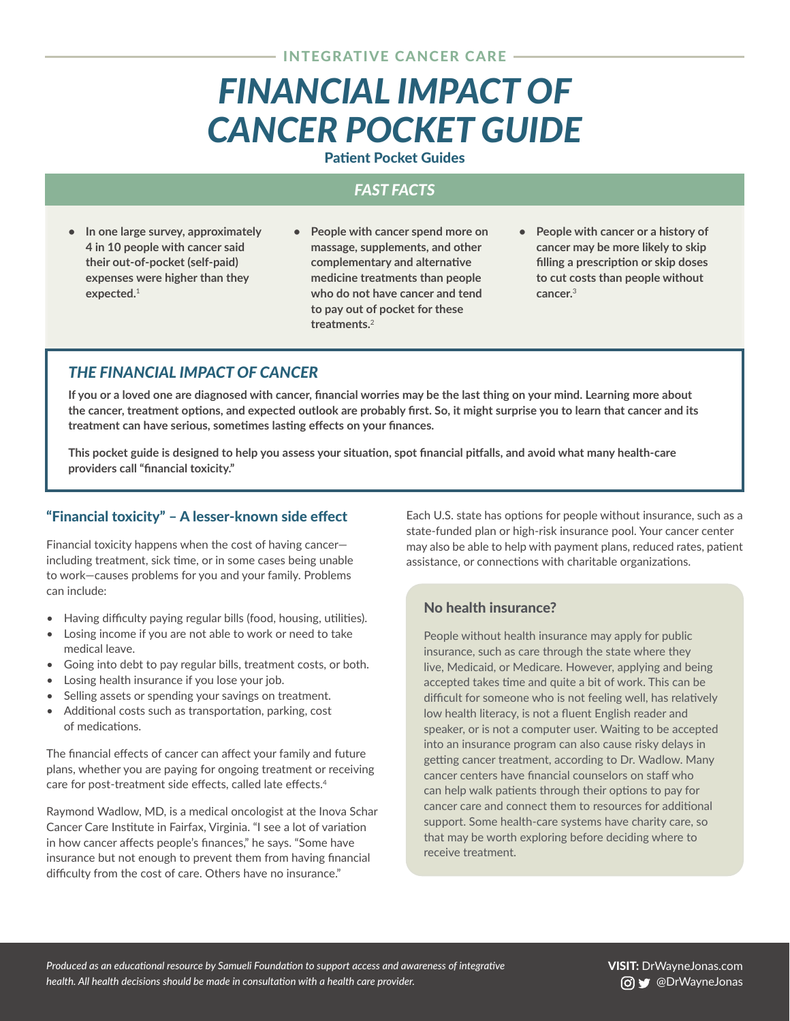# <span id="page-0-0"></span>*FINANCIAL IMPACT OF CANCER POCKET GUIDE*

#### Patient Pocket Guides

# *FAST FACTS*

- **• In one large survey, approximately 4 in 10 people with cancer said their out-of-pocket (self-paid) expenses were higher than they expected.**[1](#page-4-0)
- **• People with cancer spend more on massage, supplements, and other complementary and alternative medicine treatments than people who do not have cancer and tend to pay out of pocket for these treatments.**[2](#page-4-0)
- **• People with cancer or a history of cancer may be more likely to skip filling a prescription or skip doses to cut costs than people without cancer.**[3](#page-4-0)

# *THE FINANCIAL IMPACT OF CANCER*

**If you or a loved one are diagnosed with cancer, financial worries may be the last thing on your mind. Learning more about the cancer, treatment options, and expected outlook are probably first. So, it might surprise you to learn that cancer and its treatment can have serious, sometimes lasting effects on your finances.**

**This pocket guide is designed to help you assess your situation, spot financial pitfalls, and avoid what many health-care providers call "financial toxicity."**

### "Financial toxicity" – A lesser-known side effect

Financial toxicity happens when the cost of having cancer including treatment, sick time, or in some cases being unable to work—causes problems for you and your family. Problems can include:

- Having difficulty paying regular bills (food, housing, utilities).
- Losing income if you are not able to work or need to take medical leave.
- Going into debt to pay regular bills, treatment costs, or both.
- Losing health insurance if you lose your job.
- Selling assets or spending your savings on treatment.
- Additional costs such as transportation, parking, cost of medications.

The financial effects of cancer can affect your family and future plans, whether you are paying for ongoing treatment or receiving care for post-treatment side effects, called late effects.[4](#page-4-0)

Raymond Wadlow, MD, is a medical oncologist at the Inova Schar Cancer Care Institute in Fairfax, Virginia. "I see a lot of variation in how cancer affects people's finances," he says. "Some have insurance but not enough to prevent them from having financial difficulty from the cost of care. Others have no insurance."

Each U.S. state has options for people without insurance, such as a state-funded plan or high-risk insurance pool. Your cancer center may also be able to help with payment plans, reduced rates, patient assistance, or connections with charitable organizations.

## No health insurance?

People without health insurance may apply for public insurance, such as care through the state where they live, Medicaid, or Medicare. However, applying and being accepted takes time and quite a bit of work. This can be difficult for someone who is not feeling well, has relatively low health literacy, is not a fluent English reader and speaker, or is not a computer user. Waiting to be accepted into an insurance program can also cause risky delays in getting cancer treatment, according to Dr. Wadlow. Many cancer centers have financial counselors on staff who can help walk patients through their options to pay for cancer care and connect them to resources for additional support. Some health-care systems have charity care, so that may be worth exploring before deciding where to receive treatment.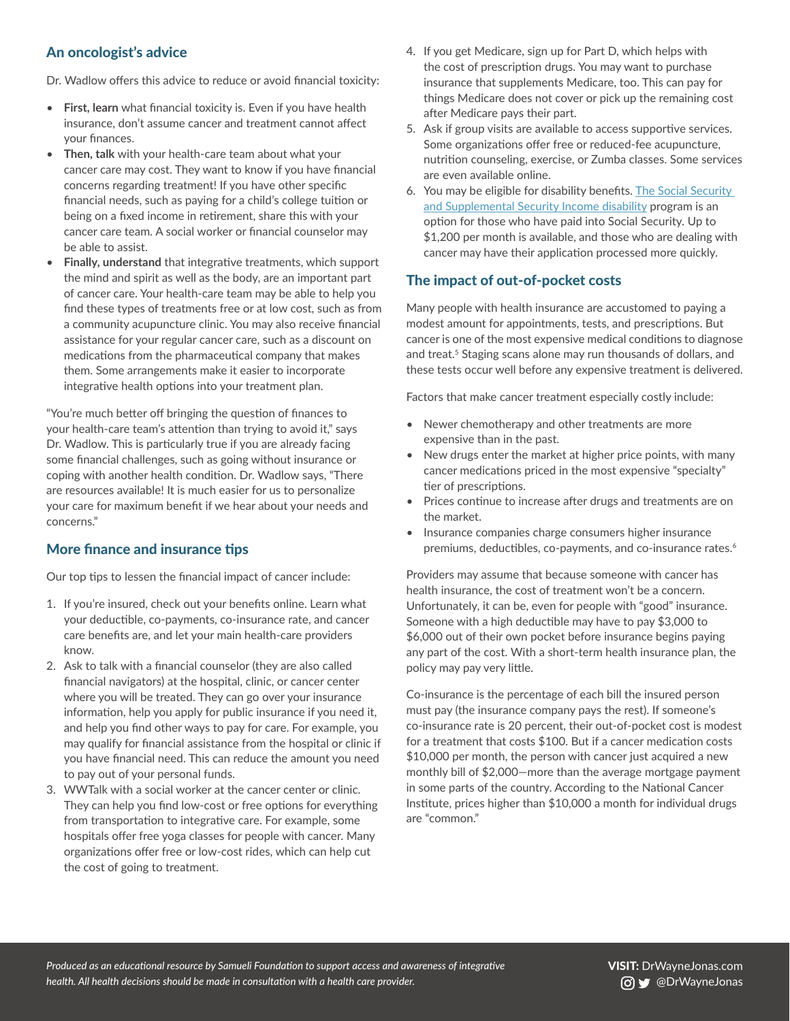# <span id="page-1-0"></span>An oncologist's advice

Dr. Wadlow offers this advice to reduce or avoid financial toxicity:

- **First, learn** what financial toxicity is. Even if you have health insurance, don't assume cancer and treatment cannot affect your finances.
- **Then, talk** with your health-care team about what your cancer care may cost. They want to know if you have financial concerns regarding treatment! If you have other specific financial needs, such as paying for a child's college tuition or being on a fixed income in retirement, share this with your cancer care team. A social worker or financial counselor may be able to assist.
- **Finally, understand** that integrative treatments, which support the mind and spirit as well as the body, are an important part of cancer care. Your health-care team may be able to help you find these types of treatments free or at low cost, such as from a community acupuncture clinic. You may also receive financial assistance for your regular cancer care, such as a discount on medications from the pharmaceutical company that makes them. Some arrangements make it easier to incorporate integrative health options into your treatment plan.

"You're much better off bringing the question of finances to your health-care team's attention than trying to avoid it," says Dr. Wadlow. This is particularly true if you are already facing some financial challenges, such as going without insurance or coping with another health condition. Dr. Wadlow says, "There are resources available! It is much easier for us to personalize your care for maximum benefit if we hear about your needs and concerns."

#### More finance and insurance tips

Our top tips to lessen the financial impact of cancer include:

- 1. If you're insured, check out your benefits online. Learn what your deductible, co-payments, co-insurance rate, and cancer care benefits are, and let your main health-care providers know.
- 2. Ask to talk with a financial counselor (they are also called financial navigators) at the hospital, clinic, or cancer center where you will be treated. They can go over your insurance information, help you apply for public insurance if you need it, and help you find other ways to pay for care. For example, you may qualify for financial assistance from the hospital or clinic if you have financial need. This can reduce the amount you need to pay out of your personal funds.
- 3. WWTalk with a social worker at the cancer center or clinic. They can help you find low-cost or free options for everything from transportation to integrative care. For example, some hospitals offer free yoga classes for people with cancer. Many organizations offer free or low-cost rides, which can help cut the cost of going to treatment.
- 4. If you get Medicare, sign up for Part D, which helps with the cost of prescription drugs. You may want to purchase insurance that supplements Medicare, too. This can pay for things Medicare does not cover or pick up the remaining cost after Medicare pays their part.
- 5. Ask if group visits are available to access supportive services. Some organizations offer free or reduced-fee acupuncture, nutrition counseling, exercise, or Zumba classes. Some services are even available online.
- 6. You may be eligible for disability benefits. [The Social Security](https://www.ssa.gov/disability/)  [and Supplemental Security Income disability](https://www.ssa.gov/disability/) program is an option for those who have paid into Social Security. Up to \$1,200 per month is available, and those who are dealing with cancer may have their application processed more quickly.

## The impact of out-of-pocket costs

Many people with health insurance are accustomed to paying a modest amount for appointments, tests, and prescriptions. But cancer is one of the most expensive medical conditions to diagnose and treat.<sup>5</sup> Staging scans alone may run thousands of dollars, and these tests occur well before any expensive treatment is delivered.

Factors that make cancer treatment especially costly include:

- Newer chemotherapy and other treatments are more expensive than in the past.
- New drugs enter the market at higher price points, with many cancer medications priced in the most expensive "specialty" tier of prescriptions.
- Prices continue to increase after drugs and treatments are on the market.
- Insurance companies charge consumers higher insurance premiums, deductibles, co-payments, and co-insurance rates.<sup>[6](#page-4-0)</sup>

Providers may assume that because someone with cancer has health insurance, the cost of treatment won't be a concern. Unfortunately, it can be, even for people with "good" insurance. Someone with a high deductible may have to pay \$3,000 to \$6,000 out of their own pocket before insurance begins paying any part of the cost. With a short-term health insurance plan, the policy may pay very little.

Co-insurance is the percentage of each bill the insured person must pay (the insurance company pays the rest). If someone's co-insurance rate is 20 percent, their out-of-pocket cost is modest for a treatment that costs \$100. But if a cancer medication costs \$10,000 per month, the person with cancer just acquired a new monthly bill of \$2,000—more than the average mortgage payment in some parts of the country. According to the National Cancer Institute, prices higher than \$10,000 a month for individual drugs are "common."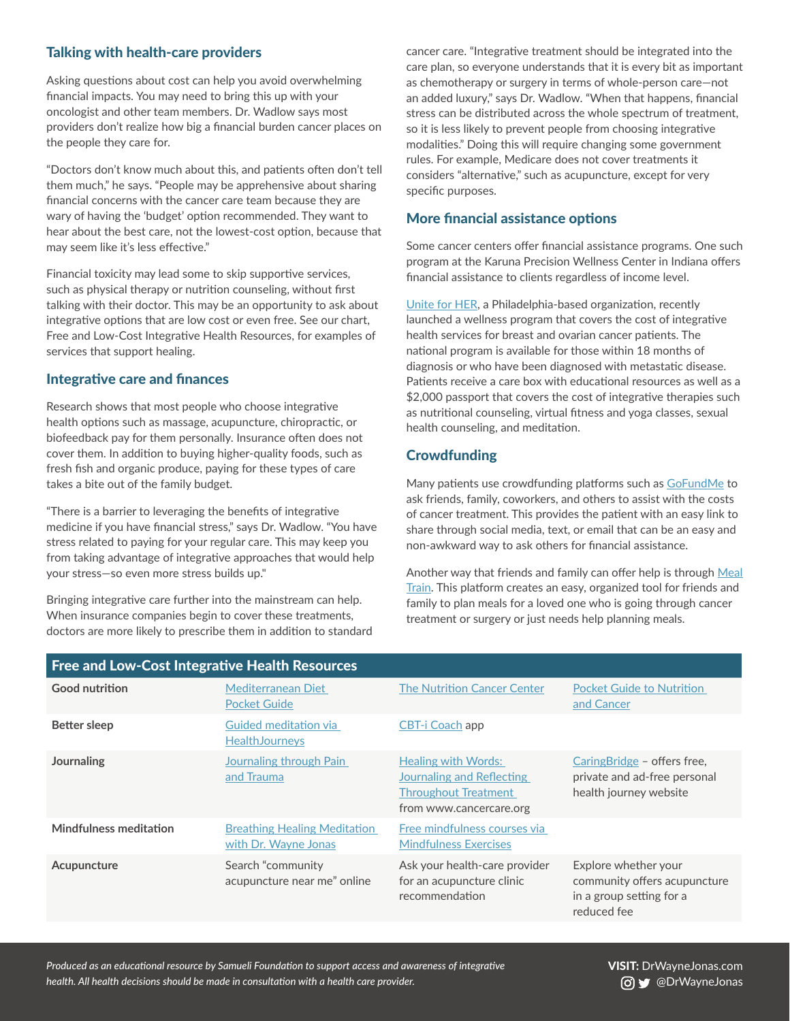### Talking with health-care providers

Asking questions about cost can help you avoid overwhelming financial impacts. You may need to bring this up with your oncologist and other team members. Dr. Wadlow says most providers don't realize how big a financial burden cancer places on the people they care for.

"Doctors don't know much about this, and patients often don't tell them much," he says. "People may be apprehensive about sharing financial concerns with the cancer care team because they are wary of having the 'budget' option recommended. They want to hear about the best care, not the lowest-cost option, because that may seem like it's less effective."

Financial toxicity may lead some to skip supportive services, such as physical therapy or nutrition counseling, without first talking with their doctor. This may be an opportunity to ask about integrative options that are low cost or even free. See our chart, Free and Low-Cost Integrative Health Resources, for examples of services that support healing.

#### Integrative care and finances

Research shows that most people who choose integrative health options such as massage, acupuncture, chiropractic, or biofeedback pay for them personally. Insurance often does not cover them. In addition to buying higher-quality foods, such as fresh fish and organic produce, paying for these types of care takes a bite out of the family budget.

"There is a barrier to leveraging the benefits of integrative medicine if you have financial stress," says Dr. Wadlow. "You have stress related to paying for your regular care. This may keep you from taking advantage of integrative approaches that would help your stress—so even more stress builds up."

Bringing integrative care further into the mainstream can help. When insurance companies begin to cover these treatments, doctors are more likely to prescribe them in addition to standard cancer care. "Integrative treatment should be integrated into the care plan, so everyone understands that it is every bit as important as chemotherapy or surgery in terms of whole-person care—not an added luxury," says Dr. Wadlow. "When that happens, financial stress can be distributed across the whole spectrum of treatment, so it is less likely to prevent people from choosing integrative modalities." Doing this will require changing some government rules. For example, Medicare does not cover treatments it considers "alternative," such as acupuncture, except for very specific purposes.

#### More financial assistance options

Some cancer centers offer financial assistance programs. One such program at the Karuna Precision Wellness Center in Indiana offers financial assistance to clients regardless of income level.

[Unite for HER](https://uniteforher.org), a Philadelphia-based organization, recently launched a wellness program that covers the cost of integrative health services for breast and ovarian cancer patients. The national program is available for those within 18 months of diagnosis or who have been diagnosed with metastatic disease. Patients receive a care box with educational resources as well as a \$2,000 passport that covers the cost of integrative therapies such as nutritional counseling, virtual fitness and yoga classes, sexual health counseling, and meditation.

# **Crowdfunding**

Many patients use crowdfunding platforms such as [GoFundMe](https://www.gofundme.com/) to ask friends, family, coworkers, and others to assist with the costs of cancer treatment. This provides the patient with an easy link to share through social media, text, or email that can be an easy and non-awkward way to ask others for financial assistance.

Another way that friends and family can offer help is through [Meal](https://www.mealtrain.com/)  [Train.](https://www.mealtrain.com/) This platform creates an easy, organized tool for friends and family to plan meals for a loved one who is going through cancer treatment or surgery or just needs help planning meals.

| <b>Free and Low-Cost Integrative Health Resources</b> |                                                             |                                                                                                                   |                                                                                                 |  |
|-------------------------------------------------------|-------------------------------------------------------------|-------------------------------------------------------------------------------------------------------------------|-------------------------------------------------------------------------------------------------|--|
| <b>Good nutrition</b>                                 | Mediterranean Diet<br><b>Pocket Guide</b>                   | <b>The Nutrition Cancer Center</b>                                                                                | <b>Pocket Guide to Nutrition</b><br>and Cancer                                                  |  |
| Better sleep                                          | Guided meditation via<br><b>HealthJourneys</b>              | CBT-i Coach app                                                                                                   |                                                                                                 |  |
| Journaling                                            | Journaling through Pain<br>and Trauma                       | <b>Healing with Words:</b><br>Journaling and Reflecting<br><b>Throughout Treatment</b><br>from www.cancercare.org | CaringBridge - offers free,<br>private and ad-free personal<br>health journey website           |  |
| <b>Mindfulness meditation</b>                         | <b>Breathing Healing Meditation</b><br>with Dr. Wayne Jonas | Free mindfulness courses via<br><b>Mindfulness Exercises</b>                                                      |                                                                                                 |  |
| Acupuncture                                           | Search "community<br>acupuncture near me" online            | Ask your health-care provider<br>for an acupuncture clinic<br>recommendation                                      | Explore whether your<br>community offers acupuncture<br>in a group setting for a<br>reduced fee |  |

*Produced as an educational resource by Samueli Foundation to support access and awareness of integrative health. All health decisions should be made in consultation with a health care provider.*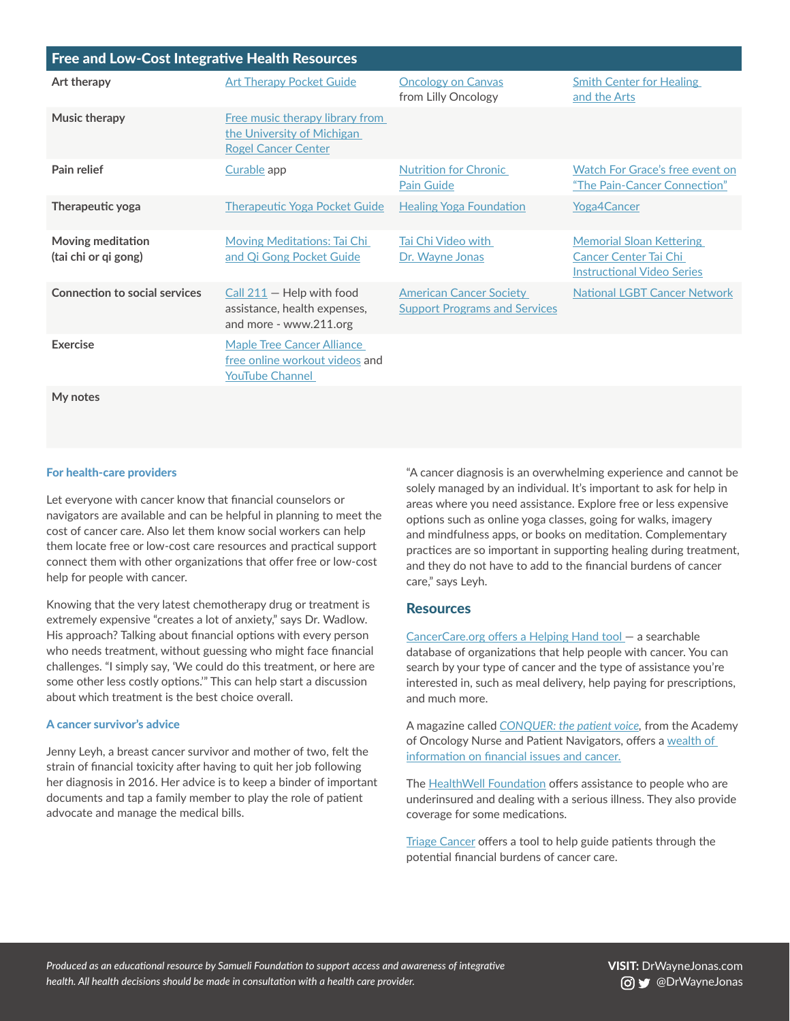| <b>Free and Low-Cost Integrative Health Resources</b> |                                                                                               |                                                                        |                                                                                                      |  |  |
|-------------------------------------------------------|-----------------------------------------------------------------------------------------------|------------------------------------------------------------------------|------------------------------------------------------------------------------------------------------|--|--|
| Art therapy                                           | <b>Art Therapy Pocket Guide</b>                                                               | <b>Oncology on Canvas</b><br>from Lilly Oncology                       | <b>Smith Center for Healing</b><br>and the Arts                                                      |  |  |
| Music therapy                                         | Free music therapy library from<br>the University of Michigan<br><b>Rogel Cancer Center</b>   |                                                                        |                                                                                                      |  |  |
| Pain relief                                           | Curable app                                                                                   | <b>Nutrition for Chronic</b><br><b>Pain Guide</b>                      | Watch For Grace's free event on<br>"The Pain-Cancer Connection"                                      |  |  |
| Therapeutic yoga                                      | <b>Therapeutic Yoga Pocket Guide</b>                                                          | <b>Healing Yoga Foundation</b>                                         | <b>Yoga4Cancer</b>                                                                                   |  |  |
| Moving meditation<br>(tai chi or qi gong)             | Moving Meditations: Tai Chi<br>and Qi Gong Pocket Guide                                       | Tai Chi Video with<br>Dr. Wayne Jonas                                  | <b>Memorial Sloan Kettering</b><br><b>Cancer Center Tai Chi</b><br><b>Instructional Video Series</b> |  |  |
| <b>Connection to social services</b>                  | $Call$ 211 – Help with food<br>assistance, health expenses,<br>and more - www.211.org         | <b>American Cancer Society</b><br><b>Support Programs and Services</b> | <b>National LGBT Cancer Network</b>                                                                  |  |  |
| Exercise                                              | <b>Maple Tree Cancer Alliance</b><br>free online workout videos and<br><b>YouTube Channel</b> |                                                                        |                                                                                                      |  |  |

**My notes**

#### For health-care providers

Let everyone with cancer know that financial counselors or navigators are available and can be helpful in planning to meet the cost of cancer care. Also let them know social workers can help them locate free or low-cost care resources and practical support connect them with other organizations that offer free or low-cost help for people with cancer.

Knowing that the very latest chemotherapy drug or treatment is extremely expensive "creates a lot of anxiety," says Dr. Wadlow. His approach? Talking about financial options with every person who needs treatment, without guessing who might face financial challenges. "I simply say, 'We could do this treatment, or here are some other less costly options.'" This can help start a discussion about which treatment is the best choice overall.

#### A cancer survivor's advice

Jenny Leyh, a breast cancer survivor and mother of two, felt the strain of financial toxicity after having to quit her job following her diagnosis in 2016. Her advice is to keep a binder of important documents and tap a family member to play the role of patient advocate and manage the medical bills.

"A cancer diagnosis is an overwhelming experience and cannot be solely managed by an individual. It's important to ask for help in areas where you need assistance. Explore free or less expensive options such as online yoga classes, going for walks, imagery and mindfulness apps, or books on meditation. Complementary practices are so important in supporting healing during treatment, and they do not have to add to the financial burdens of cancer care," says Leyh.

#### **Resources**

[CancerCare.org offers a Helping Hand tool —](https://www.cancercare.org/helpinghand) a searchable database of organizations that help people with cancer. You can search by your type of cancer and the type of assistance you're interested in, such as meal delivery, help paying for prescriptions, and much more.

A magazine called *[CONQUER: the patient voice](https://conquer-magazine.com/),* from the Academy of Oncology Nurse and Patient Navigators, offers a [wealth of](https://conquer-magazine.com/financial-support)  [information on financial issues and cancer.](https://conquer-magazine.com/financial-support)

The [HealthWell Foundation](https://www.healthwellfoundation.org/patients/) offers assistance to people who are underinsured and dealing with a serious illness. They also provide coverage for some medications.

[Triage Cancer](https://triagecancer.org/cancer-finances) offers a tool to help guide patients through the potential financial burdens of cancer care.